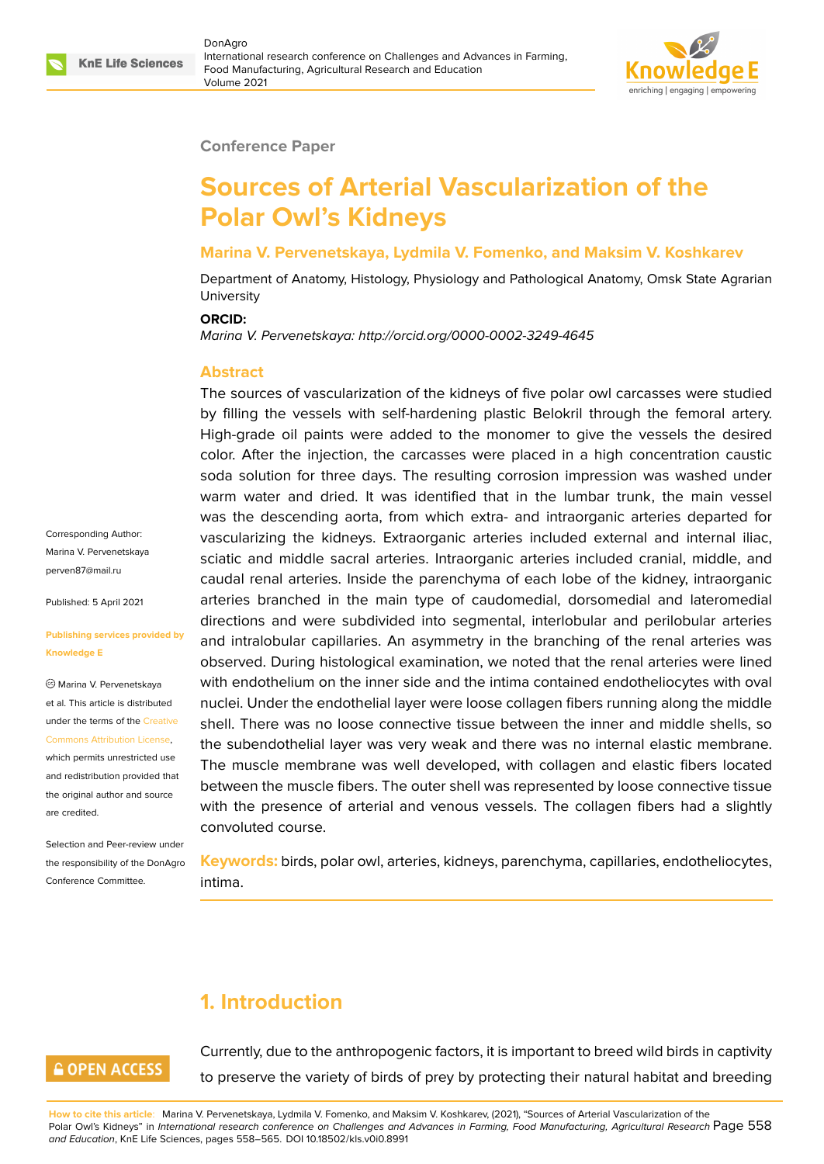

#### **Conference Paper**

# **Sources of Arterial Vascularization of the Polar Owl's Kidneys**

#### **Marina V. Pervenetskaya, Lydmila V. Fomenko, and Maksim V. Koshkarev**

Department of Anatomy, Histology, Physiology and Pathological Anatomy, Omsk State Agrarian **University** 

#### **ORCID:**

*Marina V. Pervenetskaya: http://orcid.org/0000-0002-3249-4645*

#### **Abstract**

The sources of vascularization of the kidneys of five polar owl carcasses were studied by filling the vessels with self-hardening plastic Belokril through the femoral artery. High-grade oil paints were added to the monomer to give the vessels the desired color. After the injection, the carcasses were placed in a high concentration caustic soda solution for three days. The resulting corrosion impression was washed under warm water and dried. It was identified that in the lumbar trunk, the main vessel was the descending aorta, from which extra- and intraorganic arteries departed for vascularizing the kidneys. Extraorganic arteries included external and internal iliac, sciatic and middle sacral arteries. Intraorganic arteries included cranial, middle, and caudal renal arteries. Inside the parenchyma of each lobe of the kidney, intraorganic arteries branched in the main type of caudomedial, dorsomedial and lateromedial directions and were subdivided into segmental, interlobular and perilobular arteries and intralobular capillaries. An asymmetry in the branching of the renal arteries was observed. During histological examination, we noted that the renal arteries were lined with endothelium on the inner side and the intima contained endotheliocytes with oval nuclei. Under the endothelial layer were loose collagen fibers running along the middle shell. There was no loose connective tissue between the inner and middle shells, so the subendothelial layer was very weak and there was no internal elastic membrane. The muscle membrane was well developed, with collagen and elastic fibers located between the muscle fibers. The outer shell was represented by loose connective tissue with the presence of arterial and venous vessels. The collagen fibers had a slightly convoluted course.

**Keywords:** birds, polar owl, arteries, kidneys, parenchyma, capillaries, endotheliocytes, intima.

# **1. Introduction**

# **GOPEN ACCESS**

Currently, due to the anthropogenic factors, it is important to breed wild birds in captivity to preserve the variety of birds of prey by protecting their natural habitat and breeding

**How to cite this article**: Marina V. Pervenetskaya, Lydmila V. Fomenko, and Maksim V. Koshkarev, (2021), "Sources of Arterial Vascularization of the Polar Owl's Kidneys" in *International research conference on Challenges and Advances in Farming, Food Manufacturing, Agricultural Research* Page 558 *and Education*, KnE Life Sciences, pages 558–565. DOI 10.18502/kls.v0i0.8991

Corresponding Author: Marina V. Pervenetskaya perven87@mail.ru

Published: 5 April 2021

#### **[Publishing service](mailto:perven87@mail.ru)s provided by Knowledge E**

Marina V. Pervenetskaya et al. This article is distributed under the terms of the Creative Commons Attribution License,

which permits unrestricted use and redistribution provided that the original author and [source](https://creativecommons.org/licenses/by/4.0/) [are credited.](https://creativecommons.org/licenses/by/4.0/)

Selection and Peer-review under the responsibility of the DonAgro Conference Committee.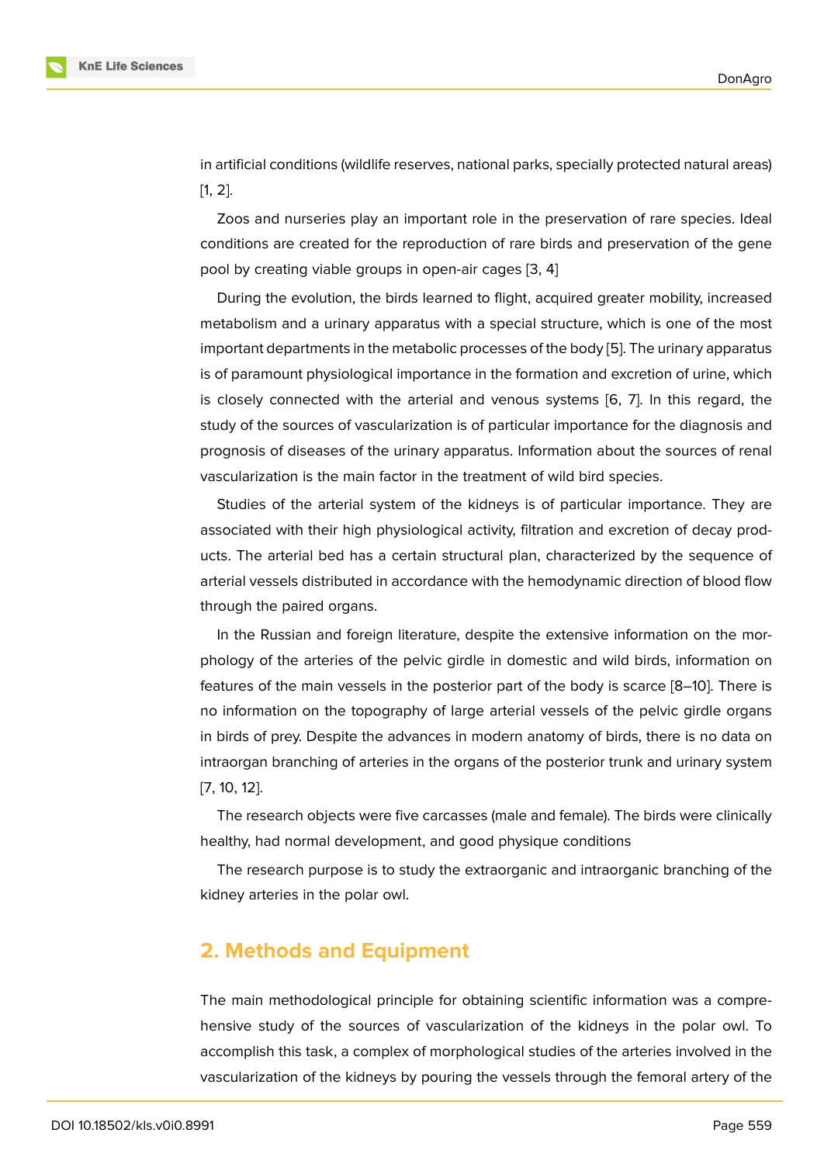in artificial conditions (wildlife reserves, national parks, specially protected natural areas) [1, 2].

Zoos and nurseries play an important role in the preservation of rare species. Ideal conditions are created for the reproduction of rare birds and preservation of the gene [p](#page-5-0)[oo](#page-5-1)l by creating viable groups in open-air cages [3, 4]

During the evolution, the birds learned to flight, acquired greater mobility, increased metabolism and a urinary apparatus with a special structure, which is one of the most important departments in the metabolic processes [o](#page-6-0)f [th](#page-6-1)e body [5]. The urinary apparatus is of paramount physiological importance in the formation and excretion of urine, which is closely connected with the arterial and venous systems [6, 7]. In this regard, the study of the sources of vascularization is of particular importa[nc](#page-6-2)e for the diagnosis and prognosis of diseases of the urinary apparatus. Information about the sources of renal vascularization is the main factor in the treatment of wild bird [sp](#page-6-3)[ec](#page-6-4)ies.

Studies of the arterial system of the kidneys is of particular importance. They are associated with their high physiological activity, filtration and excretion of decay products. The arterial bed has a certain structural plan, characterized by the sequence of arterial vessels distributed in accordance with the hemodynamic direction of blood flow through the paired organs.

In the Russian and foreign literature, despite the extensive information on the morphology of the arteries of the pelvic girdle in domestic and wild birds, information on features of the main vessels in the posterior part of the body is scarce [8–10]. There is no information on the topography of large arterial vessels of the pelvic girdle organs in birds of prey. Despite the advances in modern anatomy of birds, there is no data on intraorgan branching of arteries in the organs of the posterior trunk and [u](#page-6-5)r[ina](#page-6-6)ry system [7, 10, 12].

The research objects were five carcasses (male and female). The birds were clinically healthy, had normal development, and good physique conditions

[Th](#page-6-6)[e re](#page-6-7)search purpose is to study the extraorganic and intraorganic branching of the kidney arteries in the polar owl.

### **2. Methods and Equipment**

The main methodological principle for obtaining scientific information was a comprehensive study of the sources of vascularization of the kidneys in the polar owl. To accomplish this task, a complex of morphological studies of the arteries involved in the vascularization of the kidneys by pouring the vessels through the femoral artery of the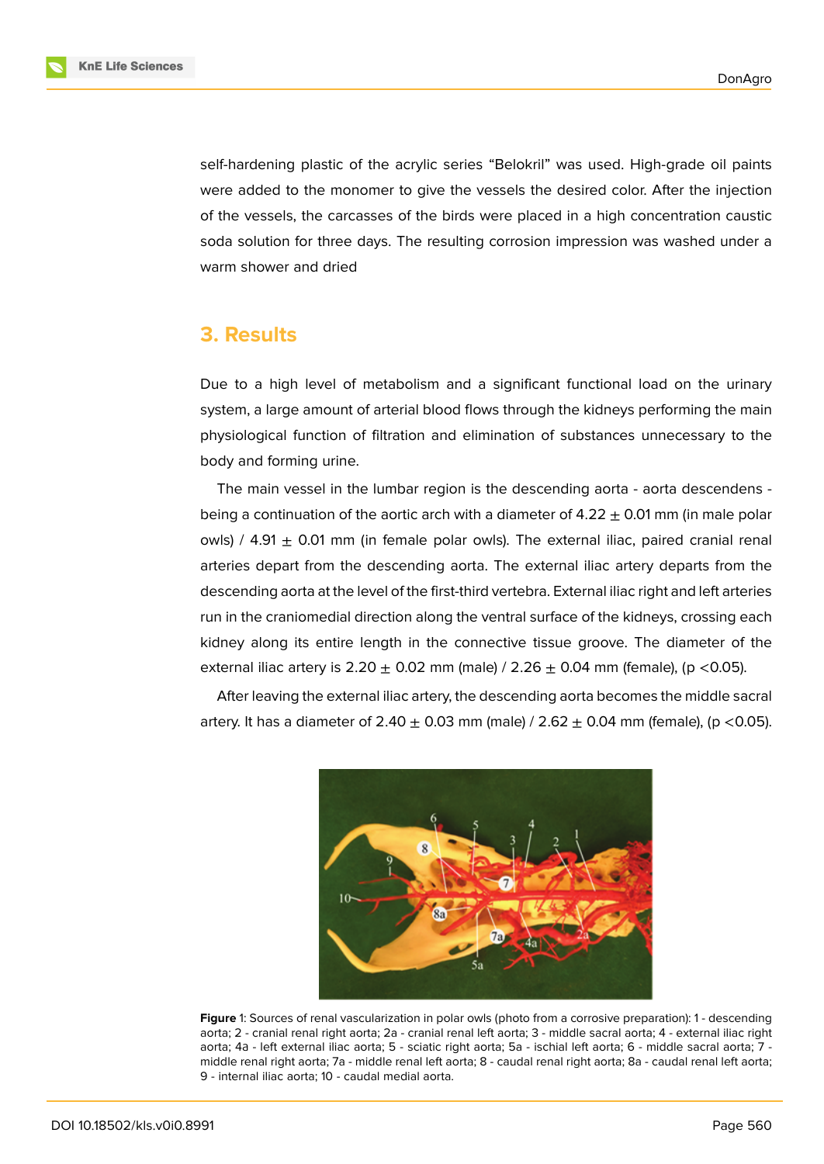self-hardening plastic of the acrylic series "Belokril" was used. High-grade oil paints were added to the monomer to give the vessels the desired color. After the injection of the vessels, the carcasses of the birds were placed in a high concentration caustic soda solution for three days. The resulting corrosion impression was washed under a warm shower and dried

### **3. Results**

Due to a high level of metabolism and a significant functional load on the urinary system, a large amount of arterial blood flows through the kidneys performing the main physiological function of filtration and elimination of substances unnecessary to the body and forming urine.

The main vessel in the lumbar region is the descending aorta - aorta descendens being a continuation of the aortic arch with a diameter of  $4.22 \pm 0.01$  mm (in male polar owls) / 4.91  $\pm$  0.01 mm (in female polar owls). The external iliac, paired cranial renal arteries depart from the descending aorta. The external iliac artery departs from the descending aorta at the level of the first-third vertebra. External iliac right and left arteries run in the craniomedial direction along the ventral surface of the kidneys, crossing each kidney along its entire length in the connective tissue groove. The diameter of the external iliac artery is 2.20  $\pm$  0.02 mm (male) / 2.26  $\pm$  0.04 mm (female), (p < 0.05).

After leaving the external iliac artery, the descending aorta becomes the middle sacral artery. It has a diameter of  $2.40 \pm 0.03$  mm (male) /  $2.62 \pm 0.04$  mm (female), (p < 0.05).



**Figure** 1: Sources of renal vascularization in polar owls (photo from a corrosive preparation): 1 - descending aorta; 2 - cranial renal right aorta; 2a - cranial renal left aorta; 3 - middle sacral aorta; 4 - external iliac right aorta; 4а - left external iliac aorta; 5 - sciatic right aorta; 5a - ischial left aorta; 6 - middle sacral aorta; 7 middle renal right aorta; 7a - middle renal left aorta; 8 - caudal renal right aorta; 8a - caudal renal left aorta; 9 - internal iliac aorta; 10 - caudal medial aorta.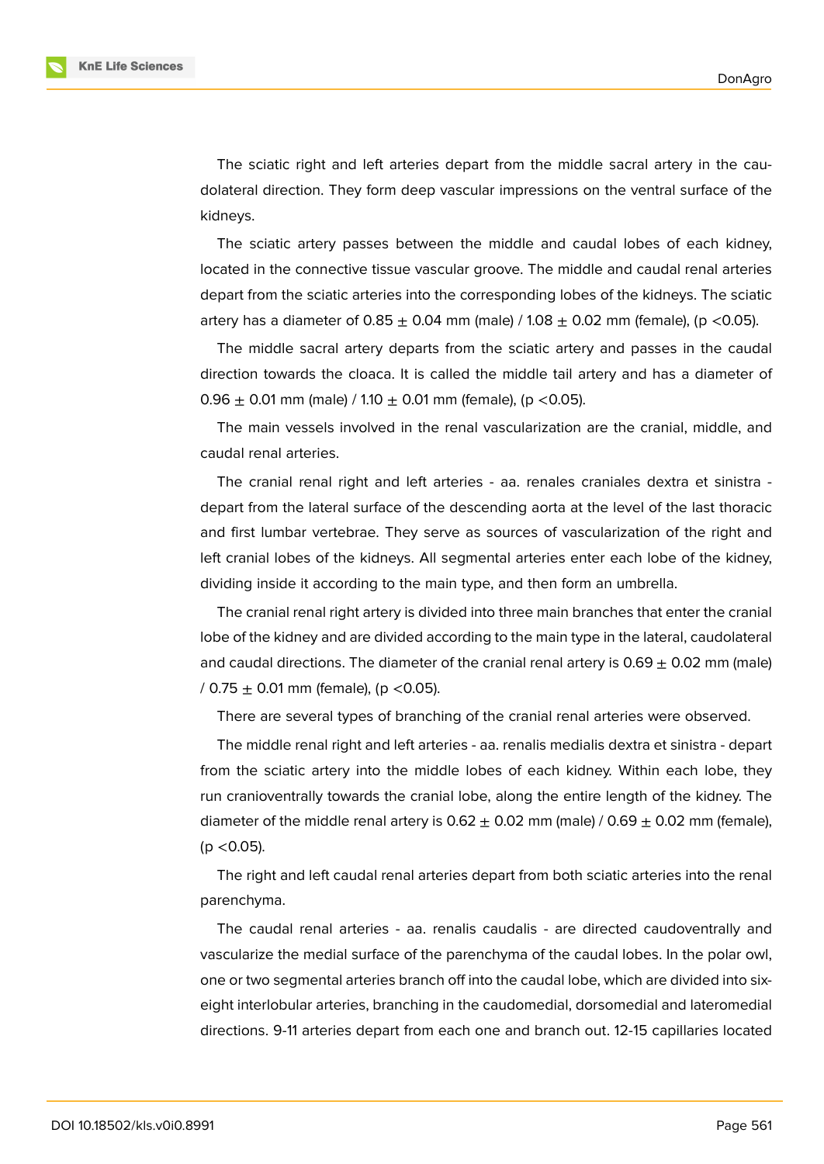The sciatic right and left arteries depart from the middle sacral artery in the caudolateral direction. They form deep vascular impressions on the ventral surface of the kidneys.

The sciatic artery passes between the middle and caudal lobes of each kidney, located in the connective tissue vascular groove. The middle and caudal renal arteries depart from the sciatic arteries into the corresponding lobes of the kidneys. The sciatic artery has a diameter of  $0.85 \pm 0.04$  mm (male) / 1.08  $\pm$  0.02 mm (female), (p <0.05).

The middle sacral artery departs from the sciatic artery and passes in the caudal direction towards the cloaca. It is called the middle tail artery and has a diameter of  $0.96 \pm 0.01$  mm (male) / 1.10  $\pm$  0.01 mm (female), (p < 0.05).

The main vessels involved in the renal vascularization are the cranial, middle, and caudal renal arteries.

The cranial renal right and left arteries - aa. renales craniales dextra et sinistra depart from the lateral surface of the descending aorta at the level of the last thoracic and first lumbar vertebrae. They serve as sources of vascularization of the right and left cranial lobes of the kidneys. All segmental arteries enter each lobe of the kidney, dividing inside it according to the main type, and then form an umbrella.

The cranial renal right artery is divided into three main branches that enter the cranial lobe of the kidney and are divided according to the main type in the lateral, caudolateral and caudal directions. The diameter of the cranial renal artery is  $0.69 \pm 0.02$  mm (male) / 0.75  $\pm$  0.01 mm (female), (p < 0.05).

There are several types of branching of the cranial renal arteries were observed.

The middle renal right and left arteries - aa. renalis medialis dextra et sinistra - depart from the sciatic artery into the middle lobes of each kidney. Within each lobe, they run cranioventrally towards the cranial lobe, along the entire length of the kidney. The diameter of the middle renal artery is  $0.62 \pm 0.02$  mm (male) /  $0.69 \pm 0.02$  mm (female), (p <0.05).

The right and left caudal renal arteries depart from both sciatic arteries into the renal parenchyma.

The caudal renal arteries - aa. renalis caudalis - are directed caudoventrally and vascularize the medial surface of the parenchyma of the caudal lobes. In the polar owl, one or two segmental arteries branch off into the caudal lobe, which are divided into sixeight interlobular arteries, branching in the caudomedial, dorsomedial and lateromedial directions. 9-11 arteries depart from each one and branch out. 12-15 capillaries located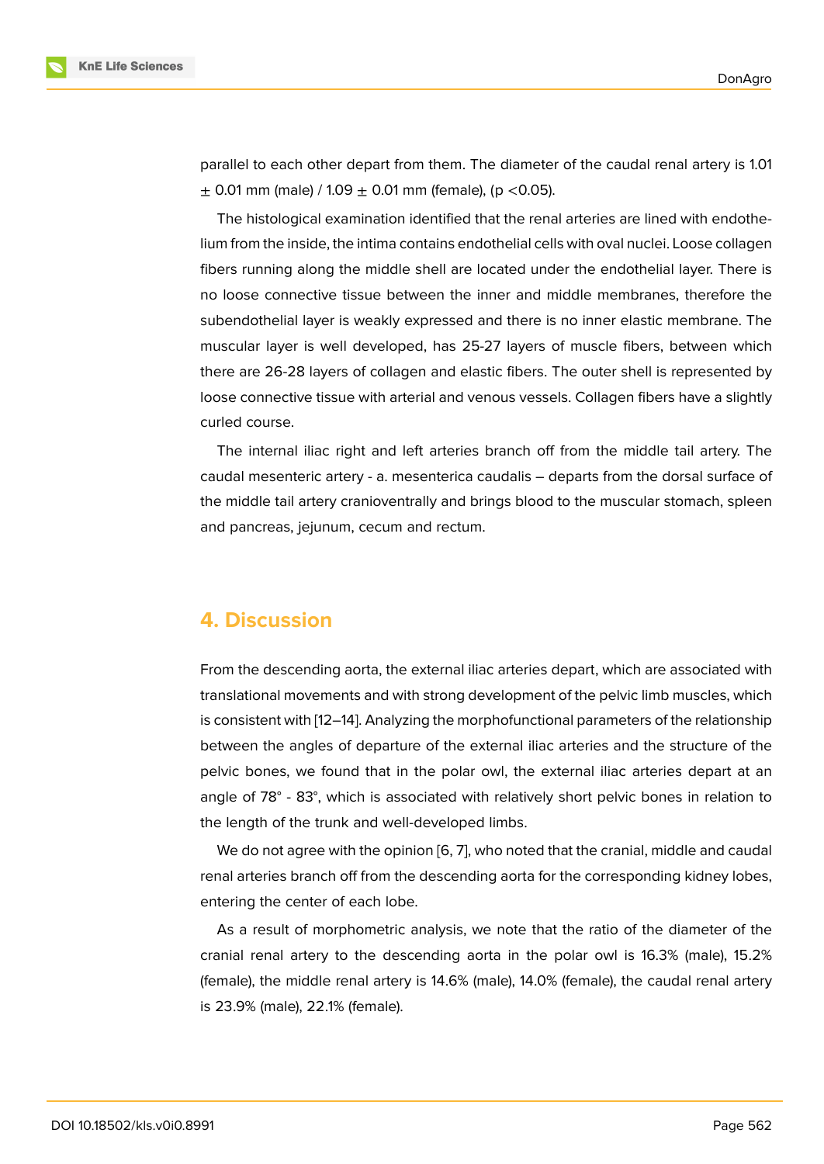parallel to each other depart from them. The diameter of the caudal renal artery is 1.01  $\pm$  0.01 mm (male) / 1.09  $\pm$  0.01 mm (female), (p < 0.05).

The histological examination identified that the renal arteries are lined with endothelium from the inside, the intima contains endothelial cells with oval nuclei. Loose collagen fibers running along the middle shell are located under the endothelial layer. There is no loose connective tissue between the inner and middle membranes, therefore the subendothelial layer is weakly expressed and there is no inner elastic membrane. The muscular layer is well developed, has 25-27 layers of muscle fibers, between which there are 26-28 layers of collagen and elastic fibers. The outer shell is represented by loose connective tissue with arterial and venous vessels. Collagen fibers have a slightly curled course.

The internal iliac right and left arteries branch off from the middle tail artery. The caudal mesenteric artery - a. mesenterica caudalis – departs from the dorsal surface of the middle tail artery cranioventrally and brings blood to the muscular stomach, spleen and pancreas, jejunum, cecum and rectum.

#### **4. Discussion**

From the descending aorta, the external iliac arteries depart, which are associated with translational movements and with strong development of the pelvic limb muscles, which is consistent with [12–14]. Analyzing the morphofunctional parameters of the relationship between the angles of departure of the external iliac arteries and the structure of the pelvic bones, we found that in the polar owl, the external iliac arteries depart at an angle of 78° - 83°[, w](#page-6-7)[hic](#page-7-0)h is associated with relatively short pelvic bones in relation to the length of the trunk and well-developed limbs.

We do not agree with the opinion [6, 7], who noted that the cranial, middle and caudal renal arteries branch off from the descending aorta for the corresponding kidney lobes, entering the center of each lobe.

As a result of morphometric anal[ys](#page-6-3)[is,](#page-6-4) we note that the ratio of the diameter of the cranial renal artery to the descending aorta in the polar owl is 16.3% (male), 15.2% (female), the middle renal artery is 14.6% (male), 14.0% (female), the caudal renal artery is 23.9% (male), 22.1% (female).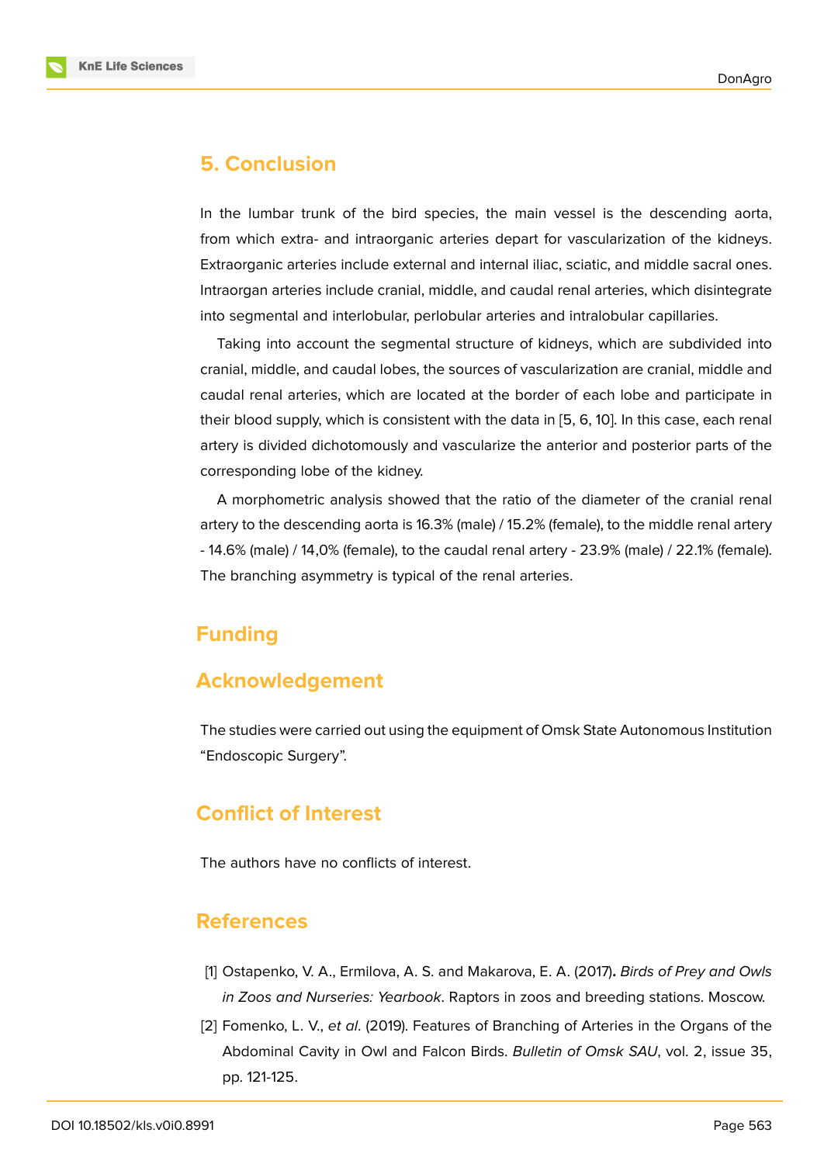### **5. Conclusion**

In the lumbar trunk of the bird species, the main vessel is the descending aorta, from which extra- and intraorganic arteries depart for vascularization of the kidneys. Extraorganic arteries include external and internal iliac, sciatic, and middle sacral ones. Intraorgan arteries include cranial, middle, and caudal renal arteries, which disintegrate into segmental and interlobular, perlobular arteries and intralobular capillaries.

Taking into account the segmental structure of kidneys, which are subdivided into cranial, middle, and caudal lobes, the sources of vascularization are cranial, middle and caudal renal arteries, which are located at the border of each lobe and participate in their blood supply, which is consistent with the data in [5, 6, 10]. In this case, each renal artery is divided dichotomously and vascularize the anterior and posterior parts of the corresponding lobe of the kidney.

A morphometric analysis showed that the ratio of t[he](#page-6-2) [d](#page-6-3)i[am](#page-6-6)eter of the cranial renal artery to the descending aorta is 16.3% (male) / 15.2% (female), to the middle renal artery - 14.6% (male) / 14,0% (female), to the caudal renal artery - 23.9% (male) / 22.1% (female). The branching asymmetry is typical of the renal arteries.

# **Funding**

### **Acknowledgement**

The studies were carried out using the equipment of Omsk State Autonomous Institution "Endoscopic Surgery".

### **Conflict of Interest**

The authors have no conflicts of interest.

### **References**

- [1] Ostapenko, V. A., Ermilova, A. S. and Makarova, E. A. (2017)**.** *Birds of Prey and Owls in Zoos and Nurseries: Yearbook*. Raptors in zoos and breeding stations. Moscow.
- <span id="page-5-1"></span><span id="page-5-0"></span>[2] Fomenko, L. V., *et al*. (2019). Features of Branching of Arteries in the Organs of the Abdominal Cavity in Owl and Falcon Birds. *Bulletin of Omsk SAU*, vol. 2, issue 35, pp. 121-125.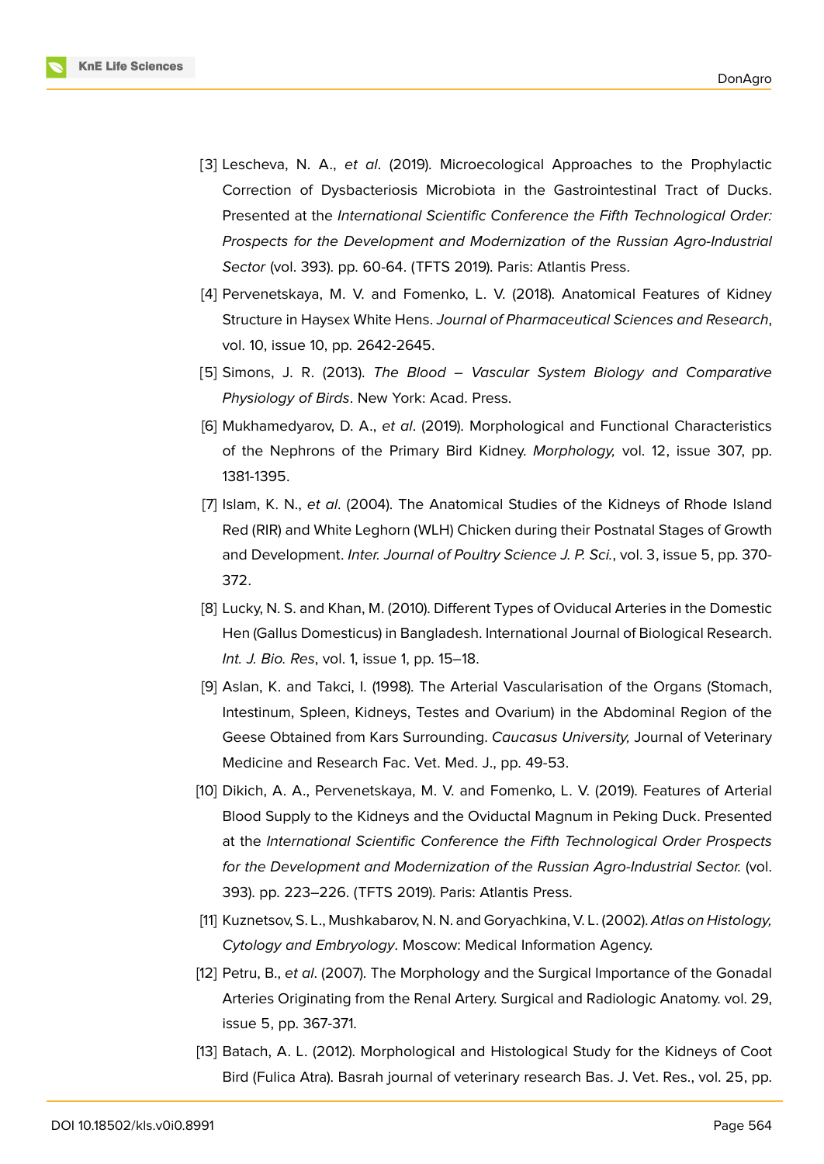

- <span id="page-6-0"></span>[3] Lescheva, N. A., *et al*. (2019). Microecological Approaches to the Prophylactic Correction of Dysbacteriosis Microbiota in the Gastrointestinal Tract of Ducks. Presented at the *International Scientific Conference the Fifth Technological Order: Prospects for the Development and Modernization of the Russian Agro-Industrial Sector* (vol. 393). pp. 60-64. (TFTS 2019). Paris: Atlantis Press.
- <span id="page-6-1"></span>[4] Pervenetskaya, M. V. and Fomenko, L. V. (2018). Anatomical Features of Kidney Structure in Haysex White Hens. *Journal of Pharmaceutical Sciences and Research*, vol. 10, issue 10, pp. 2642-2645.
- <span id="page-6-2"></span>[5] Simons, J. R. (2013). *The Blood – Vascular System Biology and Comparative Physiology of Birds*. New York: Acad. Press.
- <span id="page-6-3"></span>[6] Mukhamedyarov, D. A., *et al*. (2019). Morphological and Functional Characteristics of the Nephrons of the Primary Bird Kidney. *Morphology,* vol. 12, issue 307, pp. 1381-1395.
- <span id="page-6-4"></span>[7] Islam, K. N., *et al*. (2004). The Anatomical Studies of the Kidneys of Rhode Island Red (RIR) and White Leghorn (WLH) Chicken during their Postnatal Stages of Growth and Development. *Inter. Journal of Poultry Science J. P. Sci.*, vol. 3, issue 5, pp. 370- 372.
- <span id="page-6-5"></span>[8] Lucky, N. S. and Khan, M. (2010). Different Types of Oviducal Arteries in the Domestic Hen (Gallus Domesticus) in Bangladesh. International Journal of Biological Research. *Int. J. Bio. Res*, vol. 1, issue 1, pp. 15–18.
- [9] Aslan, K. and Takci, I. (1998). The Arterial Vascularisation of the Organs (Stomach, Intestinum, Spleen, Kidneys, Testes and Ovarium) in the Abdominal Region of the Geese Obtained from Kars Surrounding. *Caucasus University,* Journal of Veterinary Medicine and Research Fac. Vet. Med. J., pp. 49-53.
- <span id="page-6-6"></span>[10] Dikich, A. A., Pervenetskaya, M. V. and Fomenko, L. V. (2019). Features of Arterial Blood Supply to the Kidneys and the Oviductal Magnum in Peking Duck. Presented at the *International Scientific Conference the Fifth Technological Order Prospects for the Development and Modernization of the Russian Agro-Industrial Sector.* (vol. 393). pp. 223–226. (TFTS 2019). Paris: Atlantis Press.
- [11] Kuznetsov, S. L., Mushkabarov, N. N. and Goryachkina, V. L. (2002). *Atlas on Histology, Cytology and Embryology*. Moscow: Medical Information Agency.
- <span id="page-6-7"></span>[12] Petru, B., *et al*. (2007). The Morphology and the Surgical Importance of the Gonadal Arteries Originating from the Renal Artery. Surgical and Radiologic Anatomy. vol. 29, issue 5, pp. 367-371.
- [13] Batach, A. L. (2012). Morphological and Histological Study for the Kidneys of Coot Bird (Fulica Atra). Basrah journal of veterinary research Bas. J. Vet. Res., vol. 25, pp.